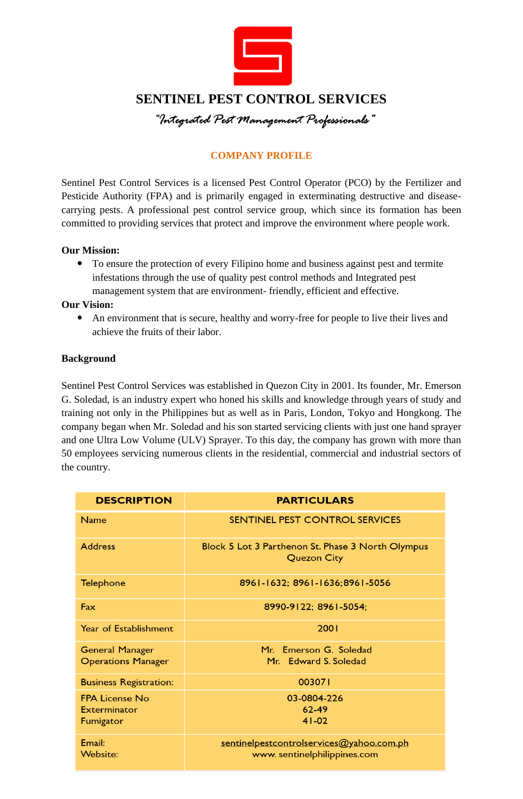

# **SENTINEL PEST CONTROL SERVICES**

"Integrated Pest Management Professionals"

## **COMPANY PROFILE**

Sentinel Pest Control Services is a licensed Pest Control Operator (PCO) by the Fertilizer and Pesticide Authority (FPA) and is primarily engaged in exterminating destructive and diseasecarrying pests. A professional pest control service group, which since its formation has been committed to providing services that protect and improve the environment where people work.

## **Our Mission:**

 To ensure the protection of every Filipino home and business against pest and termite infestations through the use of quality pest control methods and Integrated pest management system that are environment- friendly, efficient and effective.

## **Our Vision:**

 An environment that is secure, healthy and worry-free for people to live their lives and achieve the fruits of their labor.

## **Background**

Sentinel Pest Control Services was established in Quezon City in 2001. Its founder, Mr. Emerson G. Soledad, is an industry expert who honed his skills and knowledge through years of study and training not only in the Philippines but as well as in Paris, London, Tokyo and Hongkong. The company began when Mr. Soledad and his son started servicing clients with just one hand sprayer and one Ultra Low Volume (ULV) Sprayer. To this day, the company has grown with more than 50 employees servicing numerous clients in the residential, commercial and industrial sectors of the country.

| <b>DESCRIPTION</b>                                  | <b>PARTICULARS</b>                                                      |
|-----------------------------------------------------|-------------------------------------------------------------------------|
| <b>Name</b>                                         | SENTINEL PEST CONTROL SERVICES                                          |
| <b>Address</b>                                      | Block 5 Lot 3 Parthenon St. Phase 3 North Olympus<br><b>Quezon City</b> |
| <b>Telephone</b>                                    | 8961-1632; 8961-1636; 8961-5056                                         |
| Fax                                                 | 8990-9122; 8961-5054;                                                   |
| Year of Establishment                               | 2001                                                                    |
| <b>General Manager</b><br><b>Operations Manager</b> | Mr. Emerson G. Soledad<br>Mr. Edward S. Soledad                         |
| <b>Business Registration:</b>                       | 003071                                                                  |
| <b>FPA License No</b><br>Exterminator<br>Fumigator  | 03-0804-226<br>62-49<br>$41-02$                                         |
| Email:<br><b>Website:</b>                           | sentinelpestcontrolservices@yahoo.com.ph<br>www.sentinelphilippines.com |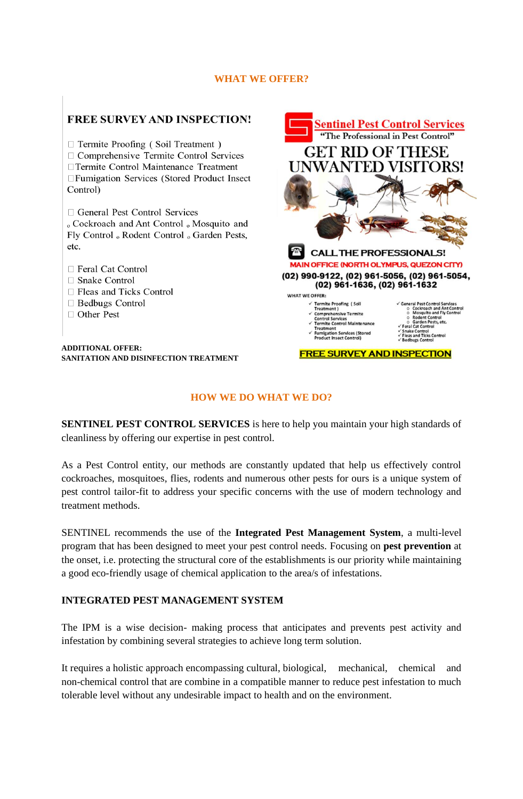#### **WHAT WE OFFER?**

### **FREE SURVEY AND INSPECTION!**

 $\Box$  Termite Proofing (Soil Treatment) □ Comprehensive Termite Control Services □ Termite Control Maintenance Treatment □ Fumigation Services (Stored Product Insect) Control)

General Pest Control Services ∘ Cockroach and Ant Control ∘ Mosquito and Fly Control . Rodent Control . Garden Pests,  $etc.$ 

- □ Feral Cat Control
- □ Snake Control
- □ Fleas and Ticks Control
- □ Bedbugs Control
- □ Other Pest

**ADDITIONAL OFFER: SANITATION AND DISINFECTION TREATMENT**



#### **HOW WE DO WHAT WE DO?**

**SENTINEL PEST CONTROL SERVICES** is here to help you maintain your high standards of cleanliness by offering our expertise in pest control.

As a Pest Control entity, our methods are constantly updated that help us effectively control cockroaches, mosquitoes, flies, rodents and numerous other pests for ours is a unique system of pest control tailor-fit to address your specific concerns with the use of modern technology and treatment methods.

SENTINEL recommends the use of the **Integrated Pest Management System**, a multi-level program that has been designed to meet your pest control needs. Focusing on **pest prevention** at the onset, i.e. protecting the structural core of the establishments is our priority while maintaining a good eco-friendly usage of chemical application to the area/s of infestations.

## **INTEGRATED PEST MANAGEMENT SYSTEM**

The IPM is a wise decision- making process that anticipates and prevents pest activity and infestation by combining several strategies to achieve long term solution.

It requires a holistic approach encompassing cultural, biological, mechanical, chemical and non-chemical control that are combine in a compatible manner to reduce pest infestation to much tolerable level without any undesirable impact to health and on the environment.